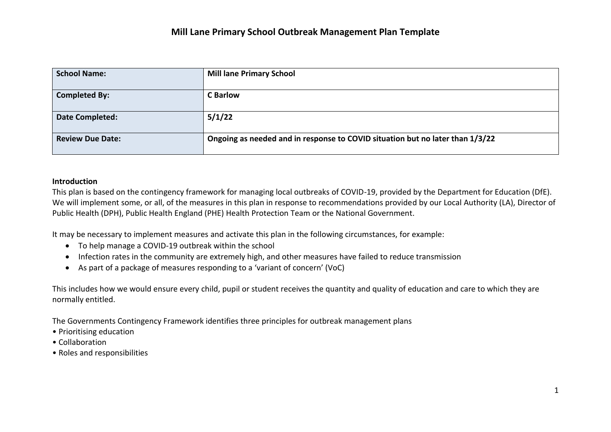| <b>School Name:</b>     | <b>Mill lane Primary School</b>                                               |
|-------------------------|-------------------------------------------------------------------------------|
| <b>Completed By:</b>    | <b>C</b> Barlow                                                               |
| Date Completed:         | 5/1/22                                                                        |
| <b>Review Due Date:</b> | Ongoing as needed and in response to COVID situation but no later than 1/3/22 |

#### **Introduction**

This plan is based on the contingency framework for managing local outbreaks of COVID-19, provided by the Department for Education (DfE). We will implement some, or all, of the measures in this plan in response to recommendations provided by our Local Authority (LA), Director of Public Health (DPH), Public Health England (PHE) Health Protection Team or the National Government.

It may be necessary to implement measures and activate this plan in the following circumstances, for example:

- To help manage a COVID-19 outbreak within the school
- Infection rates in the community are extremely high, and other measures have failed to reduce transmission
- As part of a package of measures responding to a 'variant of concern' (VoC)

This includes how we would ensure every child, pupil or student receives the quantity and quality of education and care to which they are normally entitled.

The Governments Contingency Framework identifies three principles for outbreak management plans

- Prioritising education
- Collaboration
- Roles and responsibilities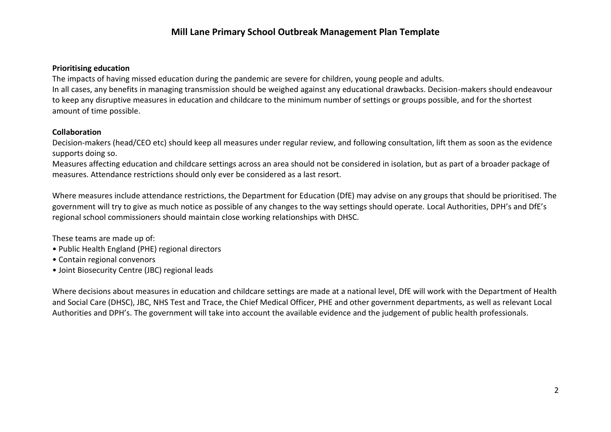# **Mill Lane Primary School Outbreak Management Plan Template**

### **Prioritising education**

The impacts of having missed education during the pandemic are severe for children, young people and adults. In all cases, any benefits in managing transmission should be weighed against any educational drawbacks. Decision-makers should endeavour to keep any disruptive measures in education and childcare to the minimum number of settings or groups possible, and for the shortest amount of time possible.

### **Collaboration**

Decision-makers (head/CEO etc) should keep all measures under regular review, and following consultation, lift them as soon as the evidence supports doing so.

Measures affecting education and childcare settings across an area should not be considered in isolation, but as part of a broader package of measures. Attendance restrictions should only ever be considered as a last resort.

Where measures include attendance restrictions, the Department for Education (DfE) may advise on any groups that should be prioritised. The government will try to give as much notice as possible of any changes to the way settings should operate. Local Authorities, DPH's and DfE's regional school commissioners should maintain close working relationships with DHSC.

These teams are made up of:

- Public Health England (PHE) regional directors
- Contain regional convenors
- Joint Biosecurity Centre (JBC) regional leads

Where decisions about measures in education and childcare settings are made at a national level, DfE will work with the Department of Health and Social Care (DHSC), JBC, NHS Test and Trace, the Chief Medical Officer, PHE and other government departments, as well as relevant Local Authorities and DPH's. The government will take into account the available evidence and the judgement of public health professionals.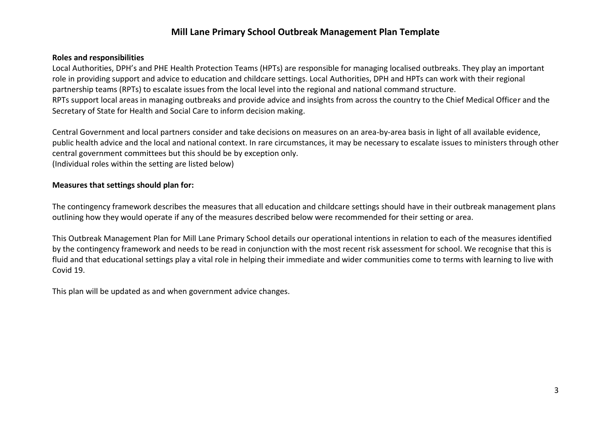# **Mill Lane Primary School Outbreak Management Plan Template**

### **Roles and responsibilities**

Local Authorities, DPH's and PHE Health Protection Teams (HPTs) are responsible for managing localised outbreaks. They play an important role in providing support and advice to education and childcare settings. Local Authorities, DPH and HPTs can work with their regional partnership teams (RPTs) to escalate issues from the local level into the regional and national command structure. RPTs support local areas in managing outbreaks and provide advice and insights from across the country to the Chief Medical Officer and the Secretary of State for Health and Social Care to inform decision making.

Central Government and local partners consider and take decisions on measures on an area-by-area basis in light of all available evidence, public health advice and the local and national context. In rare circumstances, it may be necessary to escalate issues to ministers through other central government committees but this should be by exception only.

(Individual roles within the setting are listed below)

### **Measures that settings should plan for:**

The contingency framework describes the measures that all education and childcare settings should have in their outbreak management plans outlining how they would operate if any of the measures described below were recommended for their setting or area.

This Outbreak Management Plan for Mill Lane Primary School details our operational intentions in relation to each of the measures identified by the contingency framework and needs to be read in conjunction with the most recent risk assessment for school. We recognise that this is fluid and that educational settings play a vital role in helping their immediate and wider communities come to terms with learning to live with Covid 19.

This plan will be updated as and when government advice changes.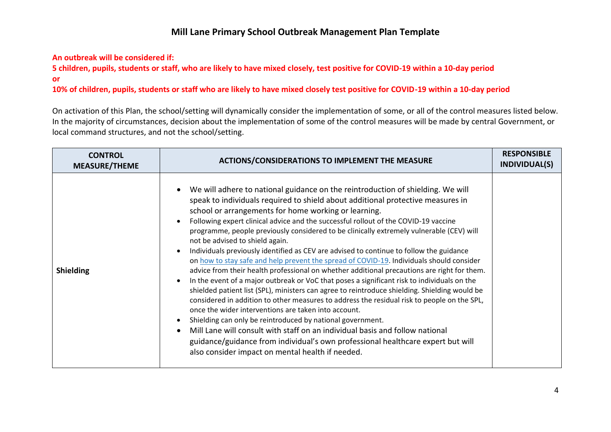# **Mill Lane Primary School Outbreak Management Plan Template**

### **An outbreak will be considered if:**

**5 children, pupils, students or staff, who are likely to have mixed closely, test positive for COVID-19 within a 10-day period or**

**10% of children, pupils, students or staff who are likely to have mixed closely test positive for COVID-19 within a 10-day period**

On activation of this Plan, the school/setting will dynamically consider the implementation of some, or all of the control measures listed below. In the majority of circumstances, decision about the implementation of some of the control measures will be made by central Government, or local command structures, and not the school/setting.

| <b>CONTROL</b><br><b>MEASURE/THEME</b> | <b>ACTIONS/CONSIDERATIONS TO IMPLEMENT THE MEASURE</b>                                                                                                                                                                                                                                                                                                                                                                                                                                                                                                                                                                                                                                                                                                                                                                                                                                                                                                                                                                                                                                                                                                                                                                                                                                                                                                                                          | <b>RESPONSIBLE</b><br>INDIVIDUAL(S) |
|----------------------------------------|-------------------------------------------------------------------------------------------------------------------------------------------------------------------------------------------------------------------------------------------------------------------------------------------------------------------------------------------------------------------------------------------------------------------------------------------------------------------------------------------------------------------------------------------------------------------------------------------------------------------------------------------------------------------------------------------------------------------------------------------------------------------------------------------------------------------------------------------------------------------------------------------------------------------------------------------------------------------------------------------------------------------------------------------------------------------------------------------------------------------------------------------------------------------------------------------------------------------------------------------------------------------------------------------------------------------------------------------------------------------------------------------------|-------------------------------------|
| <b>Shielding</b>                       | We will adhere to national guidance on the reintroduction of shielding. We will<br>$\bullet$<br>speak to individuals required to shield about additional protective measures in<br>school or arrangements for home working or learning.<br>Following expert clinical advice and the successful rollout of the COVID-19 vaccine<br>programme, people previously considered to be clinically extremely vulnerable (CEV) will<br>not be advised to shield again.<br>Individuals previously identified as CEV are advised to continue to follow the guidance<br>on how to stay safe and help prevent the spread of COVID-19. Individuals should consider<br>advice from their health professional on whether additional precautions are right for them.<br>In the event of a major outbreak or VoC that poses a significant risk to individuals on the<br>shielded patient list (SPL), ministers can agree to reintroduce shielding. Shielding would be<br>considered in addition to other measures to address the residual risk to people on the SPL,<br>once the wider interventions are taken into account.<br>Shielding can only be reintroduced by national government.<br>Mill Lane will consult with staff on an individual basis and follow national<br>guidance/guidance from individual's own professional healthcare expert but will<br>also consider impact on mental health if needed. |                                     |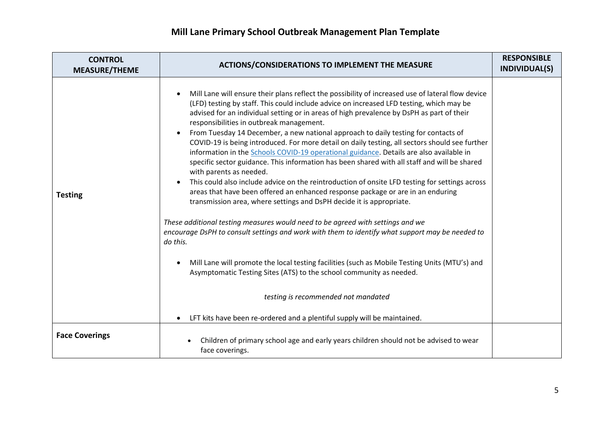| <b>CONTROL</b><br><b>MEASURE/THEME</b> | <b>ACTIONS/CONSIDERATIONS TO IMPLEMENT THE MEASURE</b>                                                                                                                                                                                                                                                                                                                                                                                                                                                                                                                                                                                                                                                                                                                                                                                                                                                                                                                                                                                                                                                                                                                                                                                                                                                                                                                                                                                                                   | <b>RESPONSIBLE</b><br><b>INDIVIDUAL(S)</b> |
|----------------------------------------|--------------------------------------------------------------------------------------------------------------------------------------------------------------------------------------------------------------------------------------------------------------------------------------------------------------------------------------------------------------------------------------------------------------------------------------------------------------------------------------------------------------------------------------------------------------------------------------------------------------------------------------------------------------------------------------------------------------------------------------------------------------------------------------------------------------------------------------------------------------------------------------------------------------------------------------------------------------------------------------------------------------------------------------------------------------------------------------------------------------------------------------------------------------------------------------------------------------------------------------------------------------------------------------------------------------------------------------------------------------------------------------------------------------------------------------------------------------------------|--------------------------------------------|
| <b>Testing</b>                         | Mill Lane will ensure their plans reflect the possibility of increased use of lateral flow device<br>(LFD) testing by staff. This could include advice on increased LFD testing, which may be<br>advised for an individual setting or in areas of high prevalence by DsPH as part of their<br>responsibilities in outbreak management.<br>From Tuesday 14 December, a new national approach to daily testing for contacts of<br>$\bullet$<br>COVID-19 is being introduced. For more detail on daily testing, all sectors should see further<br>information in the Schools COVID-19 operational guidance. Details are also available in<br>specific sector guidance. This information has been shared with all staff and will be shared<br>with parents as needed.<br>This could also include advice on the reintroduction of onsite LFD testing for settings across<br>$\bullet$<br>areas that have been offered an enhanced response package or are in an enduring<br>transmission area, where settings and DsPH decide it is appropriate.<br>These additional testing measures would need to be agreed with settings and we<br>encourage DsPH to consult settings and work with them to identify what support may be needed to<br>do this.<br>Mill Lane will promote the local testing facilities (such as Mobile Testing Units (MTU's) and<br>$\bullet$<br>Asymptomatic Testing Sites (ATS) to the school community as needed.<br>testing is recommended not mandated |                                            |
|                                        | LFT kits have been re-ordered and a plentiful supply will be maintained.                                                                                                                                                                                                                                                                                                                                                                                                                                                                                                                                                                                                                                                                                                                                                                                                                                                                                                                                                                                                                                                                                                                                                                                                                                                                                                                                                                                                 |                                            |
| <b>Face Coverings</b>                  | Children of primary school age and early years children should not be advised to wear<br>face coverings.                                                                                                                                                                                                                                                                                                                                                                                                                                                                                                                                                                                                                                                                                                                                                                                                                                                                                                                                                                                                                                                                                                                                                                                                                                                                                                                                                                 |                                            |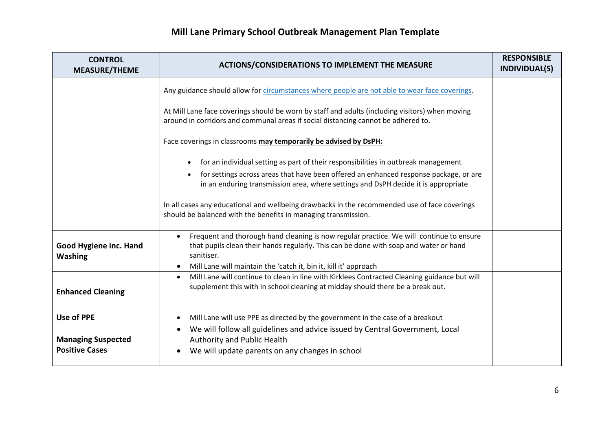| <b>CONTROL</b><br><b>MEASURE/THEME</b>             | <b>ACTIONS/CONSIDERATIONS TO IMPLEMENT THE MEASURE</b>                                                                                                                                         | <b>RESPONSIBLE</b><br><b>INDIVIDUAL(S)</b> |
|----------------------------------------------------|------------------------------------------------------------------------------------------------------------------------------------------------------------------------------------------------|--------------------------------------------|
|                                                    | Any guidance should allow for circumstances where people are not able to wear face coverings.                                                                                                  |                                            |
|                                                    | At Mill Lane face coverings should be worn by staff and adults (including visitors) when moving<br>around in corridors and communal areas if social distancing cannot be adhered to.           |                                            |
|                                                    | Face coverings in classrooms may temporarily be advised by DsPH:                                                                                                                               |                                            |
|                                                    | for an individual setting as part of their responsibilities in outbreak management                                                                                                             |                                            |
|                                                    | for settings across areas that have been offered an enhanced response package, or are<br>in an enduring transmission area, where settings and DsPH decide it is appropriate                    |                                            |
|                                                    | In all cases any educational and wellbeing drawbacks in the recommended use of face coverings<br>should be balanced with the benefits in managing transmission.                                |                                            |
| Good Hygiene inc. Hand<br><b>Washing</b>           | Frequent and thorough hand cleaning is now regular practice. We will continue to ensure<br>that pupils clean their hands regularly. This can be done with soap and water or hand<br>sanitiser. |                                            |
|                                                    | Mill Lane will maintain the 'catch it, bin it, kill it' approach<br>$\bullet$<br>Mill Lane will continue to clean in line with Kirklees Contracted Cleaning guidance but will<br>$\bullet$     |                                            |
| <b>Enhanced Cleaning</b>                           | supplement this with in school cleaning at midday should there be a break out.                                                                                                                 |                                            |
| <b>Use of PPE</b>                                  | Mill Lane will use PPE as directed by the government in the case of a breakout<br>$\bullet$                                                                                                    |                                            |
| <b>Managing Suspected</b><br><b>Positive Cases</b> | We will follow all guidelines and advice issued by Central Government, Local<br>$\bullet$<br>Authority and Public Health<br>We will update parents on any changes in school                    |                                            |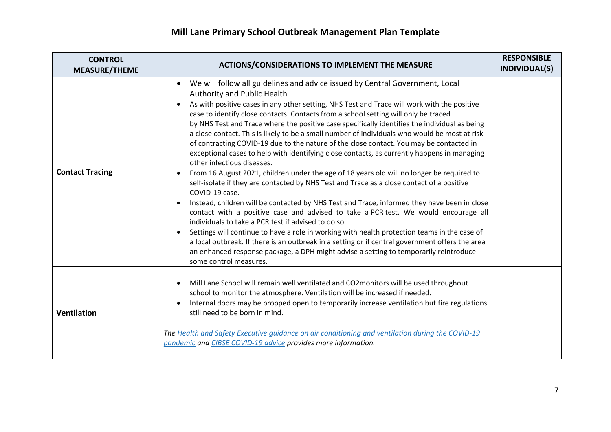| <b>CONTROL</b><br><b>MEASURE/THEME</b> | <b>ACTIONS/CONSIDERATIONS TO IMPLEMENT THE MEASURE</b>                                                                                                                                                                                                                                                                                                                                                                                                                                                                                                                                                                                                                                                                                                                                                                                                                                                                                                                                                                                                                                                                                                                                                                                                                                                                                                                                                                                                                                                                                                              | <b>RESPONSIBLE</b><br><b>INDIVIDUAL(S)</b> |
|----------------------------------------|---------------------------------------------------------------------------------------------------------------------------------------------------------------------------------------------------------------------------------------------------------------------------------------------------------------------------------------------------------------------------------------------------------------------------------------------------------------------------------------------------------------------------------------------------------------------------------------------------------------------------------------------------------------------------------------------------------------------------------------------------------------------------------------------------------------------------------------------------------------------------------------------------------------------------------------------------------------------------------------------------------------------------------------------------------------------------------------------------------------------------------------------------------------------------------------------------------------------------------------------------------------------------------------------------------------------------------------------------------------------------------------------------------------------------------------------------------------------------------------------------------------------------------------------------------------------|--------------------------------------------|
| <b>Contact Tracing</b>                 | We will follow all guidelines and advice issued by Central Government, Local<br>٠<br>Authority and Public Health<br>As with positive cases in any other setting, NHS Test and Trace will work with the positive<br>$\bullet$<br>case to identify close contacts. Contacts from a school setting will only be traced<br>by NHS Test and Trace where the positive case specifically identifies the individual as being<br>a close contact. This is likely to be a small number of individuals who would be most at risk<br>of contracting COVID-19 due to the nature of the close contact. You may be contacted in<br>exceptional cases to help with identifying close contacts, as currently happens in managing<br>other infectious diseases.<br>From 16 August 2021, children under the age of 18 years old will no longer be required to<br>$\bullet$<br>self-isolate if they are contacted by NHS Test and Trace as a close contact of a positive<br>COVID-19 case.<br>Instead, children will be contacted by NHS Test and Trace, informed they have been in close<br>$\bullet$<br>contact with a positive case and advised to take a PCR test. We would encourage all<br>individuals to take a PCR test if advised to do so.<br>Settings will continue to have a role in working with health protection teams in the case of<br>$\bullet$<br>a local outbreak. If there is an outbreak in a setting or if central government offers the area<br>an enhanced response package, a DPH might advise a setting to temporarily reintroduce<br>some control measures. |                                            |
| <b>Ventilation</b>                     | Mill Lane School will remain well ventilated and CO2monitors will be used throughout<br>$\bullet$<br>school to monitor the atmosphere. Ventilation will be increased if needed.<br>Internal doors may be propped open to temporarily increase ventilation but fire regulations<br>$\bullet$<br>still need to be born in mind.<br>The Health and Safety Executive quidance on air conditioning and ventilation during the COVID-19<br>pandemic and CIBSE COVID-19 advice provides more information.                                                                                                                                                                                                                                                                                                                                                                                                                                                                                                                                                                                                                                                                                                                                                                                                                                                                                                                                                                                                                                                                  |                                            |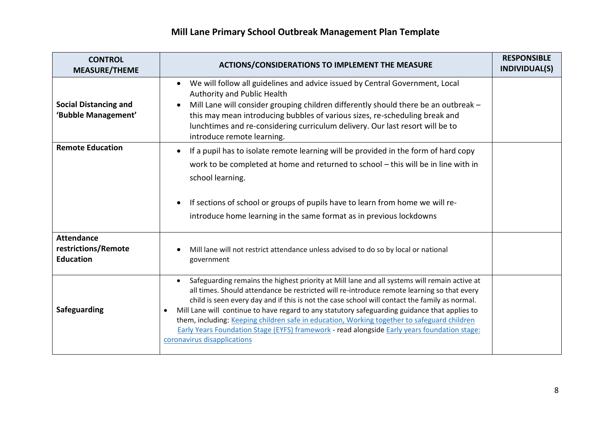| <b>CONTROL</b><br><b>MEASURE/THEME</b>                       | <b>ACTIONS/CONSIDERATIONS TO IMPLEMENT THE MEASURE</b>                                                                                                                                                                                                                                                                                                                                                                                                                                                                                                                                                                                       | <b>RESPONSIBLE</b><br><b>INDIVIDUAL(S)</b> |
|--------------------------------------------------------------|----------------------------------------------------------------------------------------------------------------------------------------------------------------------------------------------------------------------------------------------------------------------------------------------------------------------------------------------------------------------------------------------------------------------------------------------------------------------------------------------------------------------------------------------------------------------------------------------------------------------------------------------|--------------------------------------------|
| <b>Social Distancing and</b><br>'Bubble Management'          | We will follow all guidelines and advice issued by Central Government, Local<br>$\bullet$<br>Authority and Public Health<br>Mill Lane will consider grouping children differently should there be an outbreak -<br>$\bullet$<br>this may mean introducing bubbles of various sizes, re-scheduling break and<br>lunchtimes and re-considering curriculum delivery. Our last resort will be to<br>introduce remote learning.                                                                                                                                                                                                                   |                                            |
| <b>Remote Education</b>                                      | If a pupil has to isolate remote learning will be provided in the form of hard copy<br>$\bullet$<br>work to be completed at home and returned to school - this will be in line with in<br>school learning.<br>If sections of school or groups of pupils have to learn from home we will re-<br>$\bullet$<br>introduce home learning in the same format as in previous lockdowns                                                                                                                                                                                                                                                              |                                            |
| <b>Attendance</b><br>restrictions/Remote<br><b>Education</b> | Mill lane will not restrict attendance unless advised to do so by local or national<br>government                                                                                                                                                                                                                                                                                                                                                                                                                                                                                                                                            |                                            |
| Safeguarding                                                 | Safeguarding remains the highest priority at Mill lane and all systems will remain active at<br>$\bullet$<br>all times. Should attendance be restricted will re-introduce remote learning so that every<br>child is seen every day and if this is not the case school will contact the family as normal.<br>Mill Lane will continue to have regard to any statutory safeguarding guidance that applies to<br>٠<br>them, including: Keeping children safe in education, Working together to safeguard children<br>Early Years Foundation Stage (EYFS) framework - read alongside Early years foundation stage:<br>coronavirus disapplications |                                            |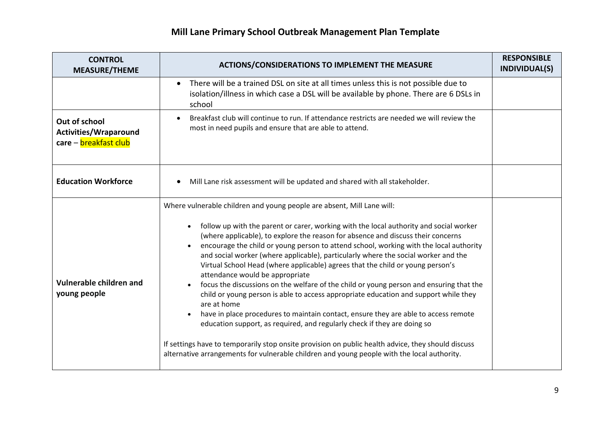| <b>CONTROL</b><br><b>MEASURE/THEME</b>                                 | <b>ACTIONS/CONSIDERATIONS TO IMPLEMENT THE MEASURE</b>                                                                                                                                                                                                                                                                                                                                                                                                                                                                                                                                                                                                                                                                                                                                                                                                                                                                                                                                                                                                                                                                              | <b>RESPONSIBLE</b><br>INDIVIDUAL(S) |
|------------------------------------------------------------------------|-------------------------------------------------------------------------------------------------------------------------------------------------------------------------------------------------------------------------------------------------------------------------------------------------------------------------------------------------------------------------------------------------------------------------------------------------------------------------------------------------------------------------------------------------------------------------------------------------------------------------------------------------------------------------------------------------------------------------------------------------------------------------------------------------------------------------------------------------------------------------------------------------------------------------------------------------------------------------------------------------------------------------------------------------------------------------------------------------------------------------------------|-------------------------------------|
|                                                                        | There will be a trained DSL on site at all times unless this is not possible due to<br>$\bullet$<br>isolation/illness in which case a DSL will be available by phone. There are 6 DSLs in<br>school                                                                                                                                                                                                                                                                                                                                                                                                                                                                                                                                                                                                                                                                                                                                                                                                                                                                                                                                 |                                     |
| Out of school<br><b>Activities/Wraparound</b><br>care - breakfast club | Breakfast club will continue to run. If attendance restricts are needed we will review the<br>$\bullet$<br>most in need pupils and ensure that are able to attend.                                                                                                                                                                                                                                                                                                                                                                                                                                                                                                                                                                                                                                                                                                                                                                                                                                                                                                                                                                  |                                     |
| <b>Education Workforce</b>                                             | Mill Lane risk assessment will be updated and shared with all stakeholder.                                                                                                                                                                                                                                                                                                                                                                                                                                                                                                                                                                                                                                                                                                                                                                                                                                                                                                                                                                                                                                                          |                                     |
| Vulnerable children and<br>young people                                | Where vulnerable children and young people are absent, Mill Lane will:<br>follow up with the parent or carer, working with the local authority and social worker<br>(where applicable), to explore the reason for absence and discuss their concerns<br>encourage the child or young person to attend school, working with the local authority<br>and social worker (where applicable), particularly where the social worker and the<br>Virtual School Head (where applicable) agrees that the child or young person's<br>attendance would be appropriate<br>focus the discussions on the welfare of the child or young person and ensuring that the<br>child or young person is able to access appropriate education and support while they<br>are at home<br>have in place procedures to maintain contact, ensure they are able to access remote<br>education support, as required, and regularly check if they are doing so<br>If settings have to temporarily stop onsite provision on public health advice, they should discuss<br>alternative arrangements for vulnerable children and young people with the local authority. |                                     |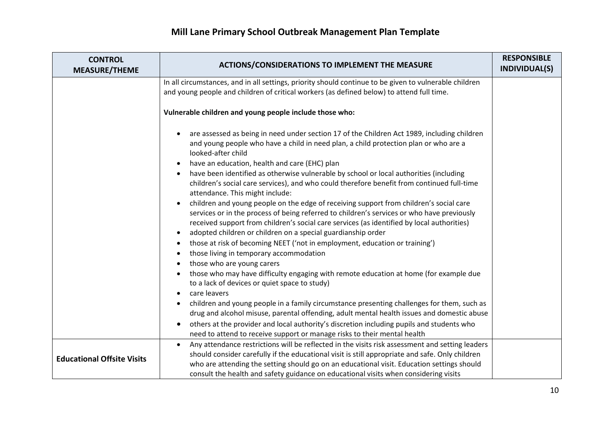| <b>CONTROL</b><br><b>MEASURE/THEME</b> | <b>ACTIONS/CONSIDERATIONS TO IMPLEMENT THE MEASURE</b>                                                                                                                                                                                                                                                                                                                                                                                                                                                                                                                                                                                                                                                                                                                                                                                                                                                                                                                                                                                                                                                                                                                                                                                                                             | <b>RESPONSIBLE</b><br>INDIVIDUAL(S) |
|----------------------------------------|------------------------------------------------------------------------------------------------------------------------------------------------------------------------------------------------------------------------------------------------------------------------------------------------------------------------------------------------------------------------------------------------------------------------------------------------------------------------------------------------------------------------------------------------------------------------------------------------------------------------------------------------------------------------------------------------------------------------------------------------------------------------------------------------------------------------------------------------------------------------------------------------------------------------------------------------------------------------------------------------------------------------------------------------------------------------------------------------------------------------------------------------------------------------------------------------------------------------------------------------------------------------------------|-------------------------------------|
|                                        | In all circumstances, and in all settings, priority should continue to be given to vulnerable children<br>and young people and children of critical workers (as defined below) to attend full time.                                                                                                                                                                                                                                                                                                                                                                                                                                                                                                                                                                                                                                                                                                                                                                                                                                                                                                                                                                                                                                                                                |                                     |
|                                        | Vulnerable children and young people include those who:                                                                                                                                                                                                                                                                                                                                                                                                                                                                                                                                                                                                                                                                                                                                                                                                                                                                                                                                                                                                                                                                                                                                                                                                                            |                                     |
|                                        | are assessed as being in need under section 17 of the Children Act 1989, including children<br>and young people who have a child in need plan, a child protection plan or who are a<br>looked-after child<br>have an education, health and care (EHC) plan<br>$\bullet$<br>have been identified as otherwise vulnerable by school or local authorities (including<br>$\bullet$<br>children's social care services), and who could therefore benefit from continued full-time<br>attendance. This might include:<br>children and young people on the edge of receiving support from children's social care<br>$\bullet$<br>services or in the process of being referred to children's services or who have previously<br>received support from children's social care services (as identified by local authorities)<br>adopted children or children on a special guardianship order<br>$\bullet$<br>those at risk of becoming NEET ('not in employment, education or training')<br>$\bullet$<br>those living in temporary accommodation<br>$\bullet$<br>those who are young carers<br>$\bullet$<br>those who may have difficulty engaging with remote education at home (for example due<br>$\bullet$<br>to a lack of devices or quiet space to study)<br>care leavers<br>$\bullet$ |                                     |
|                                        | children and young people in a family circumstance presenting challenges for them, such as<br>$\bullet$<br>drug and alcohol misuse, parental offending, adult mental health issues and domestic abuse                                                                                                                                                                                                                                                                                                                                                                                                                                                                                                                                                                                                                                                                                                                                                                                                                                                                                                                                                                                                                                                                              |                                     |
|                                        | others at the provider and local authority's discretion including pupils and students who<br>need to attend to receive support or manage risks to their mental health                                                                                                                                                                                                                                                                                                                                                                                                                                                                                                                                                                                                                                                                                                                                                                                                                                                                                                                                                                                                                                                                                                              |                                     |
| <b>Educational Offsite Visits</b>      | Any attendance restrictions will be reflected in the visits risk assessment and setting leaders<br>$\bullet$<br>should consider carefully if the educational visit is still appropriate and safe. Only children<br>who are attending the setting should go on an educational visit. Education settings should<br>consult the health and safety guidance on educational visits when considering visits                                                                                                                                                                                                                                                                                                                                                                                                                                                                                                                                                                                                                                                                                                                                                                                                                                                                              |                                     |